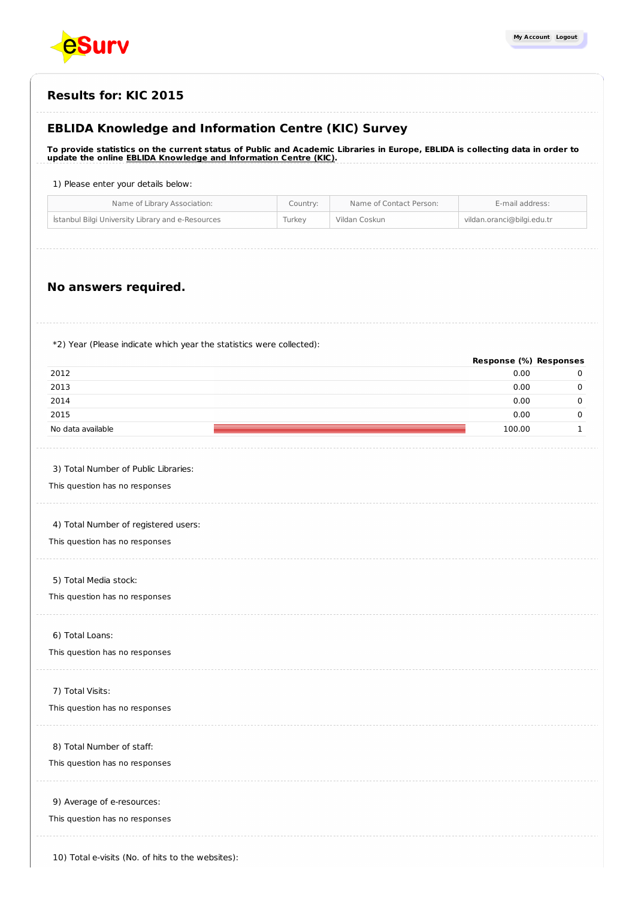

## **EBLIDA Knowledge and Information Centre (KIC) Survey**

To provide statistics on the current status of Public and Academic Libraries in Europe, EBLIDA is collecting data in order to **update the online EBLIDA Knowledge and [Information](http://www.eblida.org/activities/kic/) Centre (KIC).**

1) Please enter your details below:

| Istanbul Bilgi University Library and e-Resources<br>vildan.oranci@bilgi.edu.tr<br>Turkey<br>Vildan Coskun | Name of Library Association: | Country: | Name of Contact Person: | E-mail address: |
|------------------------------------------------------------------------------------------------------------|------------------------------|----------|-------------------------|-----------------|
|                                                                                                            |                              |          |                         |                 |

## **No answers required.**

\*2) Year (Please indicate which year the statistics were collected):

|                                                   | Response (%) Responses |             |
|---------------------------------------------------|------------------------|-------------|
| 2012                                              | 0.00                   | 0           |
| 2013                                              | 0.00                   | $\mathbf 0$ |
| 2014                                              | 0.00                   | $\mathbf 0$ |
| 2015                                              | 0.00                   | $\mathbf 0$ |
| No data available                                 | 100.00                 | 1           |
|                                                   |                        |             |
| 3) Total Number of Public Libraries:              |                        |             |
| This question has no responses                    |                        |             |
|                                                   |                        |             |
| 4) Total Number of registered users:              |                        |             |
| This question has no responses                    |                        |             |
| 5) Total Media stock:                             |                        |             |
| This question has no responses                    |                        |             |
|                                                   |                        |             |
| 6) Total Loans:                                   |                        |             |
| This question has no responses                    |                        |             |
|                                                   |                        |             |
| 7) Total Visits:                                  |                        |             |
| This question has no responses                    |                        |             |
|                                                   |                        |             |
| 8) Total Number of staff:                         |                        |             |
| This question has no responses                    |                        |             |
| 9) Average of e-resources:                        |                        |             |
| This question has no responses                    |                        |             |
|                                                   |                        |             |
|                                                   |                        |             |
| 10) Total e-visits (No. of hits to the websites): |                        |             |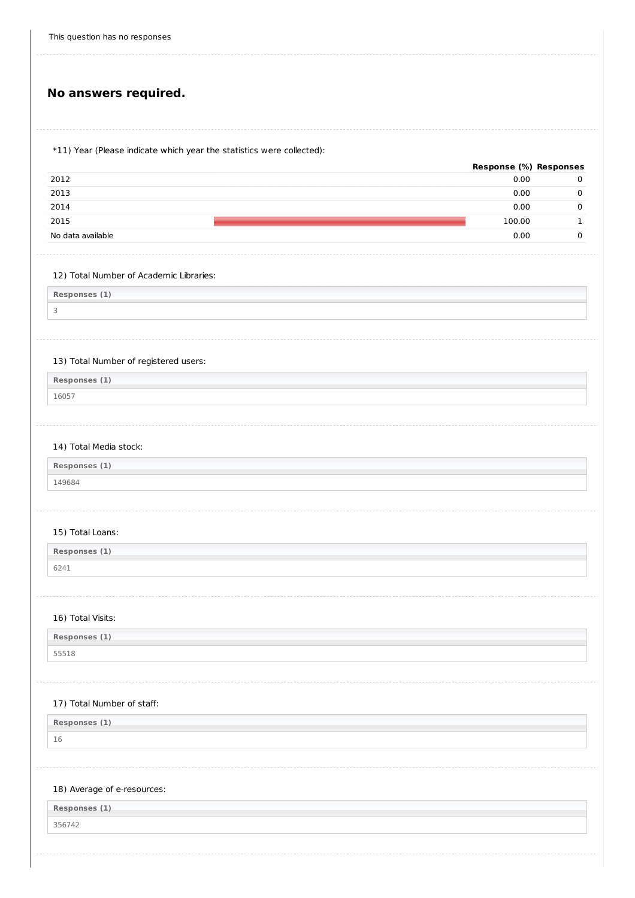# **No answers required.**

## \*11) Year (Please indicate which year the statistics were collected):

|                   | <b>Response (%) Responses</b> |   |
|-------------------|-------------------------------|---|
| 2012              | 0.00                          | υ |
| 2013              | 0.00                          |   |
| 2014              | 0.00                          |   |
| 2015              | 100.00                        |   |
| No data available | 0.00                          |   |
|                   |                               |   |

## 12) Total Number of Academic Libraries:

**Responses (1)**

3

## 13) Total Number of registered users:

**Responses (1)** 16057

## 14) Total Media stock:

| Responses (1) |  |
|---------------|--|
| 149684        |  |

#### 15) Total Loans:

| Responses (1) |  |
|---------------|--|
| 6241          |  |

## 16) Total Visits:

| Responses (1) |  |
|---------------|--|
| 55518         |  |

## 17) Total Number of staff:

**Responses (1)**

16

#### 18) Average of e-resources:

| Responses (1) |  |  |
|---------------|--|--|
| 356742        |  |  |